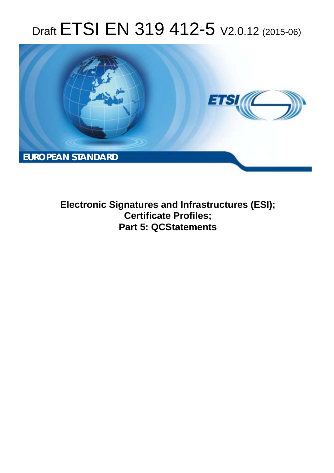# Draft ETSI EN 319 412-5 V2.0.12 (2015-06)



**Electronic Signatures and Infrastructures (ESI); Certificate Profiles; Part 5: QCStatements**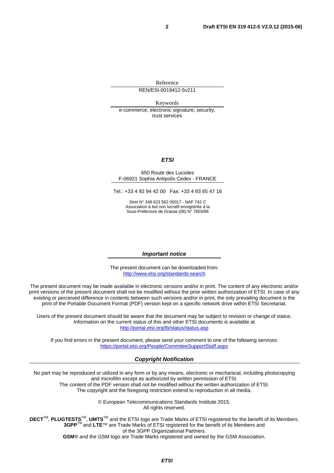Reference REN/ESI-0019412-5v211

Keywords

e-commerce, electronic signature, security, trust services

#### *ETSI*

#### 650 Route des Lucioles F-06921 Sophia Antipolis Cedex - FRANCE

Tel.: +33 4 92 94 42 00 Fax: +33 4 93 65 47 16

Siret N° 348 623 562 00017 - NAF 742 C Association à but non lucratif enregistrée à la Sous-Préfecture de Grasse (06) N° 7803/88

#### *Important notice*

The present document can be downloaded from: <http://www.etsi.org/standards-search>

The present document may be made available in electronic versions and/or in print. The content of any electronic and/or print versions of the present document shall not be modified without the prior written authorization of ETSI. In case of any existing or perceived difference in contents between such versions and/or in print, the only prevailing document is the print of the Portable Document Format (PDF) version kept on a specific network drive within ETSI Secretariat.

Users of the present document should be aware that the document may be subject to revision or change of status. Information on the current status of this and other ETSI documents is available at <http://portal.etsi.org/tb/status/status.asp>

If you find errors in the present document, please send your comment to one of the following services: <https://portal.etsi.org/People/CommiteeSupportStaff.aspx>

#### *Copyright Notification*

No part may be reproduced or utilized in any form or by any means, electronic or mechanical, including photocopying and microfilm except as authorized by written permission of ETSI.

The content of the PDF version shall not be modified without the written authorization of ETSI. The copyright and the foregoing restriction extend to reproduction in all media.

> © European Telecommunications Standards Institute 2015. All rights reserved.

**DECT**TM, **PLUGTESTS**TM, **UMTS**TM and the ETSI logo are Trade Marks of ETSI registered for the benefit of its Members. **3GPP**TM and **LTE**™ are Trade Marks of ETSI registered for the benefit of its Members and of the 3GPP Organizational Partners.

**GSM**® and the GSM logo are Trade Marks registered and owned by the GSM Association.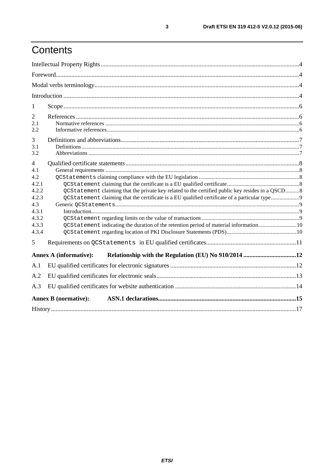## Contents

| 1              |                                                                                                  |  |  |
|----------------|--------------------------------------------------------------------------------------------------|--|--|
| 2              |                                                                                                  |  |  |
| 2.1            |                                                                                                  |  |  |
| 2.2            |                                                                                                  |  |  |
| 3              |                                                                                                  |  |  |
| 3.1            |                                                                                                  |  |  |
| 3.2            |                                                                                                  |  |  |
| $\overline{4}$ |                                                                                                  |  |  |
| 4.1<br>4.2     |                                                                                                  |  |  |
| 4.2.1          |                                                                                                  |  |  |
| 4.2.2          | QCStatement claiming that the private key related to the certified public key resides in a QSCD8 |  |  |
| 4.2.3          |                                                                                                  |  |  |
| 4.3            |                                                                                                  |  |  |
| 4.3.1          |                                                                                                  |  |  |
| 4.3.2<br>4.3.3 | QCStatement indicating the duration of the retention period of material information10            |  |  |
| 4.3.4          |                                                                                                  |  |  |
| 5              |                                                                                                  |  |  |
|                | <b>Annex A (informative):</b>                                                                    |  |  |
| A.1            |                                                                                                  |  |  |
| A.2            |                                                                                                  |  |  |
| A.3            |                                                                                                  |  |  |
|                | <b>Annex B</b> (normative):                                                                      |  |  |
|                |                                                                                                  |  |  |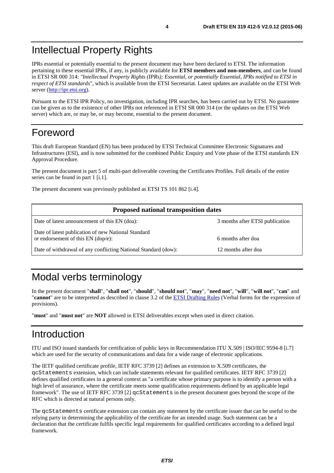## <span id="page-3-0"></span>Intellectual Property Rights

IPRs essential or potentially essential to the present document may have been declared to ETSI. The information pertaining to these essential IPRs, if any, is publicly available for **ETSI members and non-members**, and can be found in ETSI SR 000 314: *"Intellectual Property Rights (IPRs); Essential, or potentially Essential, IPRs notified to ETSI in respect of ETSI standards"*, which is available from the ETSI Secretariat. Latest updates are available on the ETSI Web server [\(http://ipr.etsi.org\)](http://webapp.etsi.org/IPR/home.asp).

Pursuant to the ETSI IPR Policy, no investigation, including IPR searches, has been carried out by ETSI. No guarantee can be given as to the existence of other IPRs not referenced in ETSI SR 000 314 (or the updates on the ETSI Web server) which are, or may be, or may become, essential to the present document.

## Foreword

This draft European Standard (EN) has been produced by ETSI Technical Committee Electronic Signatures and Infrastructures (ESI), and is now submitted for the combined Public Enquiry and Vote phase of the ETSI standards EN Approval Procedure.

The present document is part 5 of multi-part deliverable covering the Certificates Profiles. Full details of the entire series can be found in part 1 [\[i.1](#page-5-0)].

The present document was previously published as ETSI TS 101 862 [\[i.4](#page-5-0)].

| <b>Proposed national transposition dates</b>                                                |                                 |  |  |
|---------------------------------------------------------------------------------------------|---------------------------------|--|--|
| Date of latest announcement of this EN (doa):                                               | 3 months after ETSI publication |  |  |
| Date of latest publication of new National Standard<br>or endorsement of this $EN$ (dop/e): | 6 months after doa              |  |  |
| Date of withdrawal of any conflicting National Standard (dow):                              | 12 months after doa             |  |  |

## Modal verbs terminology

In the present document "**shall**", "**shall not**", "**should**", "**should not**", "**may**", "**need not**", "**will**", "**will not**", "**can**" and "**cannot**" are to be interpreted as described in clause 3.2 of the [ETSI Drafting Rules](http://portal.etsi.org/Help/editHelp!/Howtostart/ETSIDraftingRules.aspx) (Verbal forms for the expression of provisions).

"**must**" and "**must not**" are **NOT** allowed in ETSI deliverables except when used in direct citation.

## Introduction

ITU and ISO issued standards for certification of public keys in Recommendation ITU X.509 | ISO/IEC 9594-8 [\[i.7](#page-6-0)] which are used for the security of communications and data for a wide range of electronic applications.

The IETF qualified certificate profile, IETF RFC 3739 [\[2](#page-5-0)] defines an extension to X.509 certificates, the qcStatements extension, which can include statements relevant for qualified certificates. IETF RFC 3739 [\[2](#page-5-0)] defines qualified certificates in a general context as "a certificate whose primary purpose is to identify a person with a high level of assurance, where the certificate meets some qualification requirements defined by an applicable legal framework". The use of IETF RFC 3739 [\[2](#page-5-0)] qcStatements in the present document goes beyond the scope of the RFC which is directed at natural persons only.

The qcStatements certificate extension can contain any statement by the certificate issuer that can be useful to the relying party in determining the applicability of the certificate for an intended usage. Such statement can be a declaration that the certificate fulfils specific legal requirements for qualified certificates according to a defined legal framework.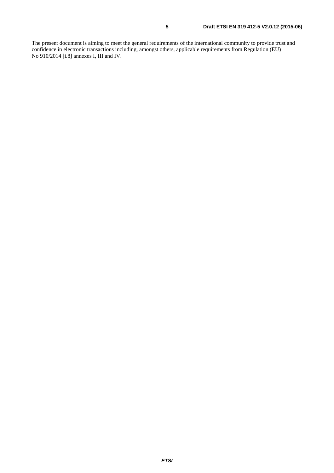The present document is aiming to meet the general requirements of the international community to provide trust and confidence in electronic transactions including, amongst others, applicable requirements from Regulation (EU) No 910/2014 [\[i.8](#page-6-0)] annexes I, III and IV.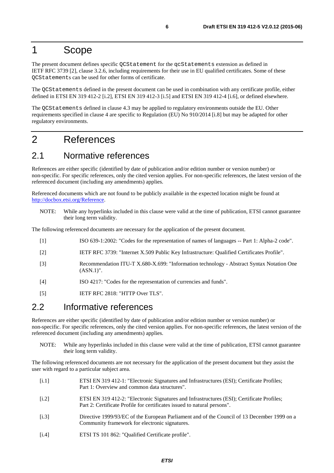### <span id="page-5-0"></span>1 Scope

The present document defines specific QCStatement for the qcStatements extension as defined in IETF RFC 3739 [2], clause 3.2.6, including requirements for their use in EU qualified certificates. Some of these QCStatements can be used for other forms of certificate.

The QCStatements defined in the present document can be used in combination with any certificate profile, either defined in ETSI EN 319 412-2 [i.2], ETSI EN 319 412-3 [\[i.5](#page-6-0)] and ETSI EN 319 412-4 [\[i.6](#page-6-0)], or defined elsewhere.

The QCStatements defined in clause 4.3 may be applied to regulatory environments outside the EU. Other requirements specified in clause 4 are specific to Regulation (EU) No 910/2014 [\[i.8](#page-6-0)] but may be adapted for other regulatory environments.

### 2 References

### 2.1 Normative references

References are either specific (identified by date of publication and/or edition number or version number) or non-specific. For specific references, only the cited version applies. For non-specific references, the latest version of the referenced document (including any amendments) applies.

Referenced documents which are not found to be publicly available in the expected location might be found at [http://docbox.etsi.org/Reference.](http://docbox.etsi.org/Reference)

NOTE: While any hyperlinks included in this clause were valid at the time of publication, ETSI cannot guarantee their long term validity.

The following referenced documents are necessary for the application of the present document.

- [1] ISO 639-1:2002: "Codes for the representation of names of languages -- Part 1: Alpha-2 code".
- [2] IETF RFC 3739: "Internet X.509 Public Key Infrastructure: Qualified Certificates Profile".
- [3] Recommendation ITU-T X.680-X.699: "Information technology Abstract Syntax Notation One (ASN.1)".
- [4] ISO 4217: "Codes for the representation of currencies and funds".
- [5] IETF RFC 2818: "HTTP Over TLS".

### 2.2 Informative references

References are either specific (identified by date of publication and/or edition number or version number) or non-specific. For specific references, only the cited version applies. For non-specific references, the latest version of the referenced document (including any amendments) applies.

NOTE: While any hyperlinks included in this clause were valid at the time of publication, ETSI cannot guarantee their long term validity.

The following referenced documents are not necessary for the application of the present document but they assist the user with regard to a particular subject area.

| [i.1] | ETSI EN 319 412-1: "Electronic Signatures and Infrastructures (ESI); Certificate Profiles;<br>Part 1: Overview and common data structures".                            |
|-------|------------------------------------------------------------------------------------------------------------------------------------------------------------------------|
| [i.2] | ETSI EN 319 412-2: "Electronic Signatures and Infrastructures (ESI); Certificate Profiles;<br>Part 2: Certificate Profile for certificates issued to natural persons". |
| [i.3] | Directive 1999/93/EC of the European Parliament and of the Council of 13 December 1999 on a<br>Community framework for electronic signatures.                          |
|       |                                                                                                                                                                        |

[i.4] ETSI TS 101 862: "Qualified Certificate profile".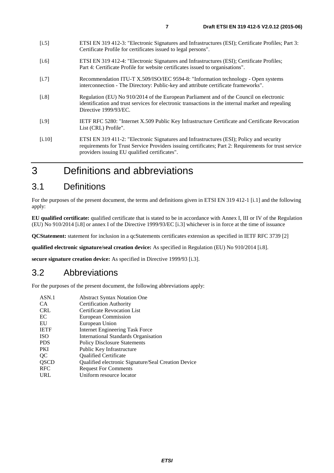- <span id="page-6-0"></span>[i.6] ETSI EN 319 412-4: "Electronic Signatures and Infrastructures (ESI); Certificate Profiles; Part 4: Certificate Profile for website certificates issued to organisations".
- [i.7] Recommendation ITU-T X.509/ISO/IEC 9594-8: "Information technology Open systems interconnection - The Directory: Public-key and attribute certificate frameworks".
- [i.8] Regulation (EU) No 910/2014 of the European Parliament and of the Council on electronic identification and trust services for electronic transactions in the internal market and repealing Directive 1999/93/EC.
- [i.9] IETF RFC 5280: "Internet X.509 Public Key Infrastructure Certificate and Certificate Revocation List (CRL) Profile".
- [i.10] ETSI EN 319 411-2: "Electronic Signatures and Infrastructures (ESI); Policy and security requirements for Trust Service Providers issuing certificates; Part 2: Requirements for trust service providers issuing EU qualified certificates".

## 3 Definitions and abbreviations

### 3.1 Definitions

For the purposes of the present document, the terms and definitions given in ETSI EN 319 412-1 [\[i.1](#page-5-0)] and the following apply:

**EU qualified certificate:** qualified certificate that is stated to be in accordance with Annex I, III or IV of the Regulation (EU) No 910/2014 [i.8] or annex I of the Directive 1999/93/EC [\[i.3](#page-5-0)] whichever is in force at the time of issuance

**QCStatement:** statement for inclusion in a qcStatements certificates extension as specified in IETF RFC 3739 [\[2](#page-5-0)]

**qualified electronic signature/seal creation device:** As specified in Regulation (EU) No 910/2014 [i.8].

**secure signature creation device:** As specified in Directive 1999/93 [\[i.3](#page-5-0)].

### 3.2 Abbreviations

For the purposes of the present document, the following abbreviations apply:

| ASN.1       | <b>Abstract Syntax Notation One</b>                 |
|-------------|-----------------------------------------------------|
| <b>CA</b>   | Certification Authority                             |
| <b>CRL</b>  | Certificate Revocation List                         |
| EC          | European Commission                                 |
| EU          | European Union                                      |
| <b>IETF</b> | <b>Internet Engineering Task Force</b>              |
| <b>ISO</b>  | International Standards Organisation                |
| <b>PDS</b>  | <b>Policy Disclosure Statements</b>                 |
| <b>PKI</b>  | Public Key Infrastructure                           |
| QC          | <b>Oualified Certificate</b>                        |
| QSCD        | Qualified electronic Signature/Seal Creation Device |
| <b>RFC</b>  | <b>Request For Comments</b>                         |
| URL         | Uniform resource locator                            |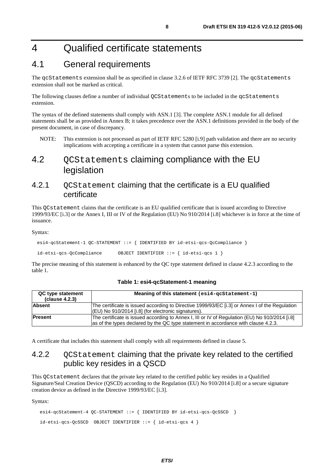## <span id="page-7-0"></span>4 Qualified certificate statements

### 4.1 General requirements

The qcStatements extension shall be as specified in clause 3.2.6 of IETF RFC 3739 [\[2](#page-5-0)]. The qcStatements extension shall not be marked as critical.

The following clauses define a number of individual OCStatements to be included in the gcStatements extension.

The syntax of the defined statements shall comply with ASN.1 [\[3](#page-5-0)]. The complete ASN.1 module for all defined statements shall be as provided in Annex B; it takes precedence over the ASN.1 definitions provided in the body of the present document, in case of discrepancy.

NOTE: This extension is not processed as part of IETF RFC 5280 [\[i.9](#page-6-0)] path validation and there are no security implications with accepting a certificate in a system that cannot parse this extension.

### 4.2 QCStatements claiming compliance with the EU legislation

#### 4.2.1 QCStatement claiming that the certificate is a EU qualified certificate

This QCstatement claims that the certificate is an EU qualified certificate that is issued according to Directive 1999/93/EC [\[i.3](#page-5-0)] or the Annex I, III or IV of the Regulation (EU) No 910/2014 [\[i.8](#page-6-0)] whichever is in force at the time of issuance.

#### Syntax:

```
 esi4-qcStatement-1 QC-STATEMENT ::= { IDENTIFIED BY id-etsi-qcs-QcCompliance }
```
id-etsi-qcs-QcCompliance OBJECT IDENTIFIER ::= { id-etsi-qcs 1 }

The precise meaning of this statement is enhanced by the QC type statement defined in clause 4.2.3 according to the table 1.

| QC type statement | Meaning of this statement (esi4-gcStatement-1)                                                 |  |  |
|-------------------|------------------------------------------------------------------------------------------------|--|--|
| (clause 4.2.3)    |                                                                                                |  |  |
| <b>Absent</b>     | The certificate is issued according to Directive 1999/93/EC [i.3] or Annex I of the Regulation |  |  |
|                   | $ (EU)$ No 910/2014 [i.8] (for electronic signatures).                                         |  |  |
| <b>Present</b>    | The certificate is issued according to Annex I, III or IV of Regulation (EU) No 910/2014 [i.8] |  |  |
|                   | as of the types declared by the QC type statement in accordance with clause 4.2.3.             |  |  |

#### **Table 1: esi4-qcStatement-1 meaning**

A certificate that includes this statement shall comply with all requirements defined in clause 5.

### 4.2.2 QCStatement claiming that the private key related to the certified public key resides in a QSCD

This QCstatement declares that the private key related to the certified public key resides in a Qualified Signature/Seal Creation Device (QSCD) according to the Regulation (EU) No 910/2014 [\[i.8](#page-6-0)] or a secure signature creation device as defined in the Directive 1999/93/EC [\[i.3](#page-5-0)].

Syntax:

```
esi4-qcStatement-4 QC-STATEMENT ::= { IDENTIFIED BY id-etsi-qcs-QcSSCD }
 id-etsi-qcs-QcSSCD OBJECT IDENTIFIER ::= { id-etsi-qcs 4 }
```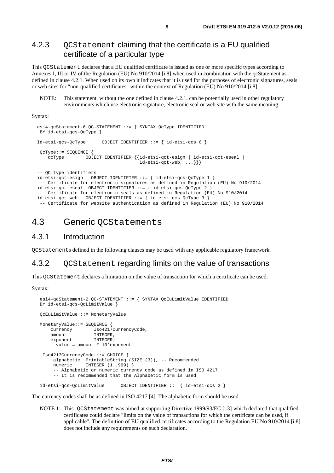#### <span id="page-8-0"></span>4.2.3 OCStatement claiming that the certificate is a EU qualified certificate of a particular type

This QCStatement declares that a EU qualified certificate is issued as one or more specific types according to Annexes I, III or IV of the Regulation (EU) No 910/2014 [\[i.8](#page-6-0)] when used in combination with the qcStatement as defined in clause 4.2.1. When used on its own it indicates that it is used for the purposes of electronic signatures, seals or web sites for "non-qualified certificates" within the context of Regulation (EU) No 910/2014 [\[i.8](#page-6-0)].

NOTE: This statement, without the one defined in clause 4.2.1, can be potentially used in other regulatory environments which use electronic signature, electronic seal or web site with the same meaning.

Syntax:

```
 esi4-qcStatement-6 QC-STATEMENT ::= { SYNTAX QcType IDENTIFIED 
 BY id-etsi-qcs-QcType } 
 Id-etsi-qcs-QcType OBJECT IDENTIFIER ::= { id-etsi-qcs 6 } 
 QcType::= SEQUENCE { 
    qcType OBJECT IDENTIFIER {{id-etsi-qct-esign | id-etsi-qct-eseal | 
                                      id-etsi-qct-web, \ldots \} -- QC type identifiers 
 id-etsi-qct-esign OBJECT IDENTIFIER ::= { id-etsi-qcs-QcType 1 } 
   -- Certificate for electronic signatures as defined in Regulation (EU) No 910/2014 
 id-etsi-qct-eseal OBJECT IDENTIFIER ::= { id-etsi-qcs-QcType 2 } 
  -- Certificate for electronic seals as defined in Regulation (EU) No 910/2014 
 id-etsi-qct-web OBJECT IDENTIFIER ::= { id-etsi-qcs-QcType 3 } 
  -- Certificate for website authentication as defined in Regulation (EU) No 910/2014
```
### 4.3 Generic QCStatements

#### 4.3.1 Introduction

QCStatements defined in the following clauses may be used with any applicable regulatory framework.

#### 4.3.2 OCStatement regarding limits on the value of transactions

This QCStatement declares a limitation on the value of transaction for which a certificate can be used.

Syntax:

```
 esi4-qcStatement-2 QC-STATEMENT ::= { SYNTAX QcEuLimitValue IDENTIFIED 
 BY id-etsi-qcs-QcLimitValue } 
 QcEuLimitValue ::= MonetaryValue 
 MonetaryValue::= SEQUENCE { 
    currency Iso4217CurrencyCode, 
    amount. INTEGER,
   exponent INTEGER}
    -- value = amount * 10^exponent 
  Iso4217CurrencyCode ::= CHOICE { 
      alphabetic PrintableString (SIZE (3)), -- Recommended 
     numeric INTEGER (1..999) }
      -- Alphabetic or numeric currency code as defined in ISO 4217 
      -- It is recommended that the Alphabetic form is used 
 id-etsi-qcs-QcLimitValue OBJECT IDENTIFIER ::= { id-etsi-qcs 2 }
```
The currency codes shall be as defined in ISO 4217 [\[4](#page-5-0)]. The alphabetic form should be used.

NOTE 1: This QCStatement was aimed at supporting Directive 1999/93/EC [\[i.3](#page-5-0)] which declared that qualified certificates could declare "limits on the value of transactions for which the certificate can be used, if applicable". The definition of EU qualified certificates according to the Regulation EU No 910/2014 [\[i.8](#page-6-0)] does not include any requirements on such declaration.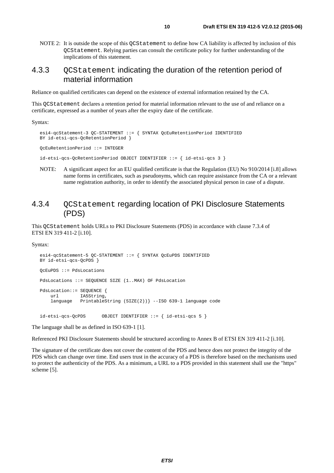<span id="page-9-0"></span>NOTE 2: It is outside the scope of this QCStatement to define how CA liability is affected by inclusion of this QCStatement. Relying parties can consult the certificate policy for further understanding of the implications of this statement.

#### 4.3.3 QCStatement indicating the duration of the retention period of material information

Reliance on qualified certificates can depend on the existence of external information retained by the CA.

This QCStatement declares a retention period for material information relevant to the use of and reliance on a certificate, expressed as a number of years after the expiry date of the certificate.

Syntax:

```
 esi4-qcStatement-3 QC-STATEMENT ::= { SYNTAX QcEuRetentionPeriod IDENTIFIED 
 BY id-etsi-qcs-QcRetentionPeriod } 
 QcEuRetentionPeriod ::= INTEGER 
 id-etsi-qcs-QcRetentionPeriod OBJECT IDENTIFIER ::= { id-etsi-qcs 3 }
```
NOTE: A significant aspect for an EU qualified certificate is that the Regulation (EU) No 910/2014 [\[i.8](#page-6-0)] allows name forms in certificates, such as pseudonyms, which can require assistance from the CA or a relevant name registration authority, in order to identify the associated physical person in case of a dispute.

#### 4.3.4 OCStatement regarding location of PKI Disclosure Statements (PDS)

This QCStatement holds URLs to PKI Disclosure Statements (PDS) in accordance with clause 7.3.4 of ETSI EN 319 411-2 [\[i.10](#page-6-0)].

Syntax:

```
 esi4-qcStatement-5 QC-STATEMENT ::= { SYNTAX QcEuPDS IDENTIFIED 
 BY id-etsi-qcs-QcPDS } 
 QcEuPDS ::= PdsLocations 
 PdsLocations ::= SEQUENCE SIZE (1..MAX) OF PdsLocation 
 PdsLocation::= SEQUENCE { 
    url IA5String,
     language PrintableString (SIZE(2))} --ISO 639-1 language code 
 id-etsi-qcs-QcPDS OBJECT IDENTIFIER ::= { id-etsi-qcs 5 }
```
The language shall be as defined in ISO 639-1 [\[1](#page-5-0)].

Referenced PKI Disclosure Statements should be structured according to Annex B of ETSI EN 319 411-2 [\[i.10](#page-6-0)].

The signature of the certificate does not cover the content of the PDS and hence does not protect the integrity of the PDS which can change over time. End users trust in the accuracy of a PDS is therefore based on the mechanisms used to protect the authenticity of the PDS. As a minimum, a URL to a PDS provided in this statement shall use the "https" scheme [\[5](#page-5-0)].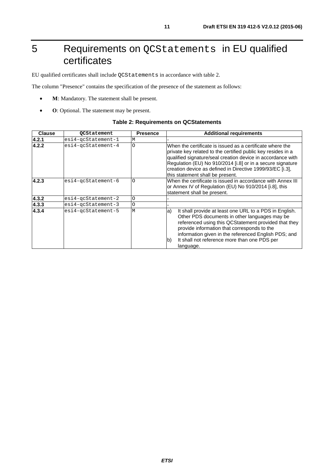## <span id="page-10-0"></span>5 Requirements on QCStatements in EU qualified certificates

EU qualified certificates shall include QCStatements in accordance with table 2.

The column "Presence" contains the specification of the presence of the statement as follows:

- **M**: Mandatory. The statement shall be present.
- **O**: Optional. The statement may be present.

#### **Table 2: Requirements on QCStatements**

| <b>Clause</b> | <b>QCStatement</b>       | <b>Presence</b> | <b>Additional requirements</b>                                                                                                                                                                                                                                                                                                                          |  |
|---------------|--------------------------|-----------------|---------------------------------------------------------------------------------------------------------------------------------------------------------------------------------------------------------------------------------------------------------------------------------------------------------------------------------------------------------|--|
| 4.2.1         | $e$ si4-qcStatement-1    | M               |                                                                                                                                                                                                                                                                                                                                                         |  |
| 4.2.2         | $e$ si4-qcStatement-4    | Ō               | When the certificate is issued as a certificate where the<br>private key related to the certified public key resides in a<br>qualified signature/seal creation device in accordance with<br>Regulation (EU) No 910/2014 [i.8] or in a secure signature<br>creation device as defined in Directive 1999/93/EC [i.3],<br>this statement shall be present. |  |
| 4.2.3         | $e$ si4-qcStatement-6    | Ω               | When the certificate is issued in accordance with Annex III<br>or Annex IV of Regulation (EU) No 910/2014 [i.8], this<br>statement shall be present.                                                                                                                                                                                                    |  |
| 4.3.2         | $e$ si4-qc $Statement-2$ | O               |                                                                                                                                                                                                                                                                                                                                                         |  |
| 4.3.3         | $e$ si4-qcStatement-3    | O               |                                                                                                                                                                                                                                                                                                                                                         |  |
| 4.3.4         | esi4-gcStatement-5       | M               | It shall provide at least one URL to a PDS in English.<br>a)<br>Other PDS documents in other languages may be<br>referenced using this QCStatement provided that they<br>provide information that corresponds to the<br>information given in the referenced English PDS; and<br>It shall not reference more than one PDS per<br>b)<br>language.         |  |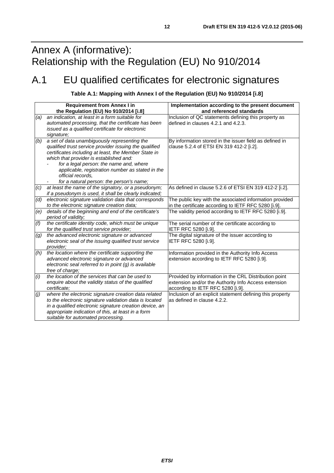## <span id="page-11-0"></span>Annex A (informative): Relationship with the Regulation (EU) No 910/2014

## A.1 EU qualified certificates for electronic signatures

#### **Table A.1: Mapping with Annex I of the Regulation (EU) No 910/2014 [\[i.8](#page-6-0)]**

|                  | <b>Requirement from Annex I in</b><br>the Regulation (EU) No 910/2014 [i.8]                                                                                                                                                                                                                                                                                               | Implementation according to the present document<br>and referenced standards                                                                       |
|------------------|---------------------------------------------------------------------------------------------------------------------------------------------------------------------------------------------------------------------------------------------------------------------------------------------------------------------------------------------------------------------------|----------------------------------------------------------------------------------------------------------------------------------------------------|
| (a)              | an indication, at least in a form suitable for<br>automated processing, that the certificate has been<br>issued as a qualified certificate for electronic<br>signature;                                                                                                                                                                                                   | Inclusion of QC statements defining this property as<br>defined in clauses 4.2.1 and 4.2.3.                                                        |
| (b)              | a set of data unambiguously representing the<br>qualified trust service provider issuing the qualified<br>certificates including at least, the Member State in<br>which that provider is established and:<br>for a legal person: the name and, where<br>applicable, registration number as stated in the<br>official records,<br>for a natural person: the person's name; | By information stored in the issuer field as defined in<br>clause 5.2.4 of ETSI EN 319 412-2 [i.2].                                                |
| (c)              | at least the name of the signatory, or a pseudonym;<br>if a pseudonym is used, it shall be clearly indicated;                                                                                                                                                                                                                                                             | As defined in clause 5.2.6 of ETSI EN 319 412-2 [i.2].                                                                                             |
| (d)              | electronic signature validation data that corresponds<br>to the electronic signature creation data;                                                                                                                                                                                                                                                                       | The public key with the associated information provided<br>in the certificate according to IETF RFC 5280 [i.9].                                    |
| (e)              | details of the beginning and end of the certificate's<br>period of validity;                                                                                                                                                                                                                                                                                              | The validity period according to IETF RFC 5280 [i.9].                                                                                              |
| (f)              | the certificate identity code, which must be unique<br>for the qualified trust service provider;                                                                                                                                                                                                                                                                          | The serial number of the certificate according to<br>IETF RFC 5280 [i.9].                                                                          |
| $\left(g\right)$ | the advanced electronic signature or advanced<br>electronic seal of the issuing qualified trust service<br>provider:                                                                                                                                                                                                                                                      | The digital signature of the issuer according to<br>IETF RFC 5280 [i.9].                                                                           |
| (h)              | the location where the certificate supporting the<br>advanced electronic signature or advanced<br>electronic seal referred to in point (g) is available<br>free of charge;                                                                                                                                                                                                | Information provided in the Authority Info Access<br>extension according to IETF RFC 5280 [i.9].                                                   |
| (i)              | the location of the services that can be used to<br>enquire about the validity status of the qualified<br>certificate:                                                                                                                                                                                                                                                    | Provided by information in the CRL Distribution point<br>extension and/or the Authority Info Access extension<br>according to IETF RFC 5280 [i.9]. |
| (j)              | where the electronic signature creation data related<br>to the electronic signature validation data is located<br>in a qualified electronic signature creation device, an<br>appropriate indication of this, at least in a form<br>suitable for automated processing.                                                                                                     | Inclusion of an explicit statement defining this property<br>as defined in clause 4.2.2.                                                           |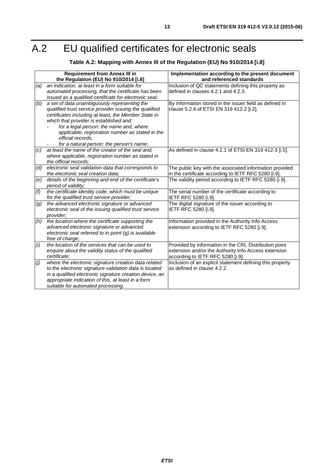## <span id="page-12-0"></span>A.2 EU qualified certificates for electronic seals

### **Table A.2: Mapping with Annex III of the Regulation (EU) No 910/2014 [[i.8\]](#page-6-0)**

|                  | <b>Requirement from Annex III in</b><br>the Regulation (EU) No 910/2014 [i.8]                                                                                                                                                                                                                                                                                             | Implementation according to the present document<br>and referenced standards                                                                       |
|------------------|---------------------------------------------------------------------------------------------------------------------------------------------------------------------------------------------------------------------------------------------------------------------------------------------------------------------------------------------------------------------------|----------------------------------------------------------------------------------------------------------------------------------------------------|
| (a)              | an indication, at least in a form suitable for<br>automated processing, that the certificate has been<br>issued as a qualified certificate for electronic seal;                                                                                                                                                                                                           | Inclusion of QC statements defining this property as<br>defined in clauses 4.2.1 and 4.2.3.                                                        |
| (b)              | a set of data unambiguously representing the<br>qualified trust service provider issuing the qualified<br>certificates including at least, the Member State in<br>which that provider is established and:<br>for a legal person: the name and, where<br>applicable, registration number as stated in the<br>official records.<br>for a natural person: the person's name; | By information stored in the issuer field as defined in<br>clause 5.2.4 of ETSI EN 319 412-2 [i.2].                                                |
| (c)              | at least the name of the creator of the seal and,<br>where applicable, registration number as stated in<br>the official records;                                                                                                                                                                                                                                          | As defined in clause 4.2.1 of ETSI EN 319 412-3 [i.5].                                                                                             |
| (d)              | electronic seal validation data that corresponds to<br>the electronic seal creation data:                                                                                                                                                                                                                                                                                 | The public key with the associated information provided<br>in the certificate according to IETF RFC 5280 [i.9].                                    |
| (e)              | details of the beginning and end of the certificate's<br>period of validity;                                                                                                                                                                                                                                                                                              | The validity period according to IETF RFC 5280 [i.9].                                                                                              |
| (f)              | the certificate identity code, which must be unique<br>for the qualified trust service provider;                                                                                                                                                                                                                                                                          | The serial number of the certificate according to<br>IETF RFC 5280 [i.9].                                                                          |
| $\left(g\right)$ | the advanced electronic signature or advanced<br>electronic seal of the issuing qualified trust service<br>provider;                                                                                                                                                                                                                                                      | The digital signature of the issuer according to<br>IETF RFC 5280 [i.9].                                                                           |
| (h)              | the location where the certificate supporting the<br>advanced electronic signature or advanced<br>electronic seal referred to in point (g) is available<br>free of charge;                                                                                                                                                                                                | Information provided in the Authority Info Access<br>extension according to IETF RFC 5280 [i.9].                                                   |
| (i)              | the location of the services that can be used to<br>enquire about the validity status of the qualified<br>certificate:                                                                                                                                                                                                                                                    | Provided by information in the CRL Distribution point<br>extension and/or the Authority Info Access extension<br>according to IETF RFC 5280 [i.9]. |
| (j)              | where the electronic signature creation data related<br>to the electronic signature validation data is located<br>in a qualified electronic signature creation device, an<br>appropriate indication of this, at least in a form<br>suitable for automated processing.                                                                                                     | Inclusion of an explicit statement defining this property<br>as defined in clause 4.2.2.                                                           |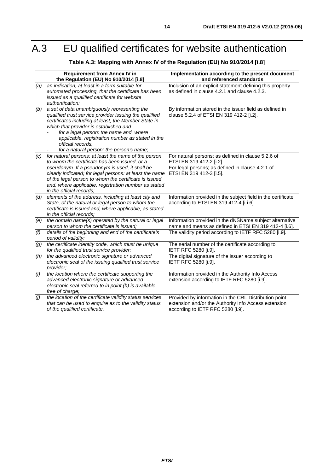## <span id="page-13-0"></span>A.3 EU qualified certificates for website authentication

### **Table A.3: Mapping with Annex IV of the Regulation (EU) No 910/2014 [\[i.8](#page-6-0)]**

|     | <b>Requirement from Annex IV in</b><br>the Regulation (EU) No 910/2014 [i.8]                                                                                                                                                                                                                                                                                              | Implementation according to the present document<br>and referenced standards                                                                                   |
|-----|---------------------------------------------------------------------------------------------------------------------------------------------------------------------------------------------------------------------------------------------------------------------------------------------------------------------------------------------------------------------------|----------------------------------------------------------------------------------------------------------------------------------------------------------------|
| (a) | an indication, at least in a form suitable for<br>automated processing, that the certificate has been<br>issued as a qualified certificate for website<br>authentication;                                                                                                                                                                                                 | Inclusion of an explicit statement defining this property<br>as defined in clause 4.2.1 and clause 4.2.3.                                                      |
| (b) | a set of data unambiguously representing the<br>qualified trust service provider issuing the qualified<br>certificates including at least, the Member State in<br>which that provider is established and:<br>for a legal person: the name and, where<br>applicable, registration number as stated in the<br>official records,<br>for a natural person: the person's name; | By information stored in the issuer field as defined in<br>clause 5.2.4 of ETSI EN 319 412-2 [i.2].                                                            |
| (c) | for natural persons: at least the name of the person<br>to whom the certificate has been issued, or a<br>pseudonym. If a pseudonym is used, it shall be<br>clearly indicated; for legal persons: at least the name<br>of the legal person to whom the certificate is issued<br>and, where applicable, registration number as stated<br>in the official records:           | For natural persons; as defined in clause 5.2.6 of<br>ETSI EN 319 412-2 [i.2].<br>For legal persons; as defined in clause 4.2.1 of<br>ETSI EN 319 412-3 [i.5]. |
| (d) | elements of the address, including at least city and<br>State, of the natural or legal person to whom the<br>certificate is issued and, where applicable, as stated<br>in the official records;                                                                                                                                                                           | Information provided in the subject field in the certificate<br>according to ETSI EN 319 412-4 [i.i.6].                                                        |
| (e) | the domain name(s) operated by the natural or legal<br>person to whom the certificate is issued;                                                                                                                                                                                                                                                                          | Information provided in the dNSName subject alternative<br>name and means as defined in ETSI EN 319 412-4 [i.6].                                               |
| (f) | details of the beginning and end of the certificate's<br>period of validity;                                                                                                                                                                                                                                                                                              | The validity period according to IETF RFC 5280 [i.9].                                                                                                          |
| (g) | the certificate identity code, which must be unique<br>for the qualified trust service provider;                                                                                                                                                                                                                                                                          | The serial number of the certificate according to<br>IETF RFC 5280 [i.9].                                                                                      |
| (h) | the advanced electronic signature or advanced<br>electronic seal of the issuing qualified trust service<br>provider;                                                                                                                                                                                                                                                      | The digital signature of the issuer according to<br>IETF RFC 5280 [i.9].                                                                                       |
| (i) | the location where the certificate supporting the<br>advanced electronic signature or advanced<br>electronic seal referred to in point (h) is available<br>free of charge;                                                                                                                                                                                                | Information provided in the Authority Info Access<br>extension according to IETF RFC 5280 [i.9].                                                               |
| (j) | the location of the certificate validity status services<br>that can be used to enquire as to the validity status<br>of the qualified certificate.                                                                                                                                                                                                                        | Provided by information in the CRL Distribution point<br>extension and/or the Authority Info Access extension<br>according to IETF RFC 5280 [i.9].             |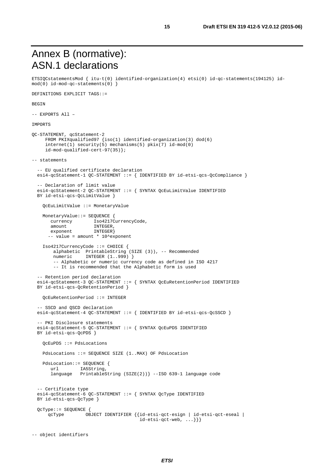## <span id="page-14-0"></span>Annex B (normative): ASN.1 declarations

ETSIQCstatementsMod { itu-t(0) identified-organization(4) etsi(0) id-qc-statements(194125) id $mod(0)$  id-mod-qc-statements(0) }

DEFINITIONS EXPLICIT TAGS::=

#### BEGIN

-- EXPORTS All –

#### IMPORTS

```
QC-STATEMENT, qcStatement-2 
      FROM PKIXqualified97 {iso(1) identified-organization(3) dod(6) 
      internet(1) security(5) mechanisms(5) pkix(7) id-mod(0) 
      id-mod-qualified-cert-97(35)}; 
-- statements 
   -- EU qualified certificate declaration 
   esi4-qcStatement-1 QC-STATEMENT ::= { IDENTIFIED BY id-etsi-qcs-QcCompliance } 
   -- Declaration of limit value 
   esi4-qcStatement-2 QC-STATEMENT ::= { SYNTAX QcEuLimitValue IDENTIFIED 
   BY id-etsi-qcs-QcLimitValue } 
     QcEuLimitValue ::= MonetaryValue 
     MonetaryValue::= SEQUENCE { 
       currency Iso4217CurrencyCode,
       amount INTEGER,
       exponent INTEGER}
      -- value = amount * 10^exponent
     Iso4217CurrencyCode ::= CHOICE { 
         alphabetic PrintableString (SIZE (3)), -- Recommended 
        numeric INTEGER (1..999) }
        -- Alphabetic or numeric currency code as defined in ISO 4217
        -- It is recommended that the Alphabetic form is used
    -- Retention period declaration 
   esi4-qcStatement-3 QC-STATEMENT ::= { SYNTAX QcEuRetentionPeriod IDENTIFIED 
   BY id-etsi-qcs-QcRetentionPeriod } 
     QcEuRetentionPeriod ::= INTEGER 
   -- SSCD and QSCD declaration 
  esi4-qcStatement-4 QC-STATEMENT ::= { IDENTIFIED BY id-etsi-qcs-QcSSCD }
   -- PKI Disclosure statements 
   esi4-qcStatement-5 QC-STATEMENT ::= { SYNTAX QcEuPDS IDENTIFIED 
   BY id-etsi-qcs-QcPDS } 
     QcEuPDS ::= PdsLocations 
     PdsLocations ::= SEQUENCE SIZE (1..MAX) OF PdsLocation 
     PdsLocation::= SEQUENCE { 
        url IA5String, 
        language PrintableString (SIZE(2))} --ISO 639-1 language code 
   -- Certificate type 
   esi4-qcStatement-6 QC-STATEMENT ::= { SYNTAX QcType IDENTIFIED 
  BY id-etsi-gcs-OcType }
   QcType::= SEQUENCE { 
       qcType OBJECT IDENTIFIER {{id-etsi-qct-esign | id-etsi-qct-eseal | 
                                          id-etsi-qct-web, ...}}}
```

```
-- object identifiers
```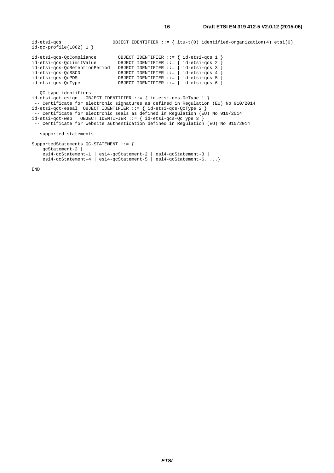id-etsi-qcs OBJECT IDENTIFIER ::= { itu-t(0) identified-organization(4) etsi(0) id-qc-profile(1862) 1 } id-etsi-qcs-QcCompliance OBJECT IDENTIFIER ::= { id-etsi-qcs 1 } id-etsi-qcs-QcLimitValue OBJECT IDENTIFIER ::= { id-etsi-qcs 2 } id-etsi-qcs-QcRetentionPeriod OBJECT IDENTIFIER ::= { id-etsi-qcs 3 } id-etsi-qcs-QcSSCD OBJECT IDENTIFIER ::= { id-etsi-qcs 4 } id-etsi-qcs-QcPDS OBJECT IDENTIFIER ::= { id-etsi-qcs 5 } id-etsi-qcs-QcType OBJECT IDENTIFIER ::= { id-etsi-qcs 6 } -- QC type identifiers id-etsi-qct-esign OBJECT IDENTIFIER ::= { id-etsi-qcs-QcType 1 } -- Certificate for electronic signatures as defined in Regulation (EU) No 910/2014 id-etsi-qct-eseal OBJECT IDENTIFIER ::= { id-etsi-qcs-QcType 2 } -- Certificate for electronic seals as defined in Regulation (EU) No 910/2014 id-etsi-qct-web OBJECT IDENTIFIER ::= { id-etsi-qcs-QcType 3 } -- Certificate for website authentication defined in Regulation (EU) No 910/2014 -- supported statements SupportedStatements QC-STATEMENT ::= { qcStatement-2 | esi4-qcStatement-1 | esi4-qcStatement-2 | esi4-qcStatement-3 | esi4-qcStatement-4 | esi4-qcStatement-5 | esi4-qcStatement-6, ...}

END